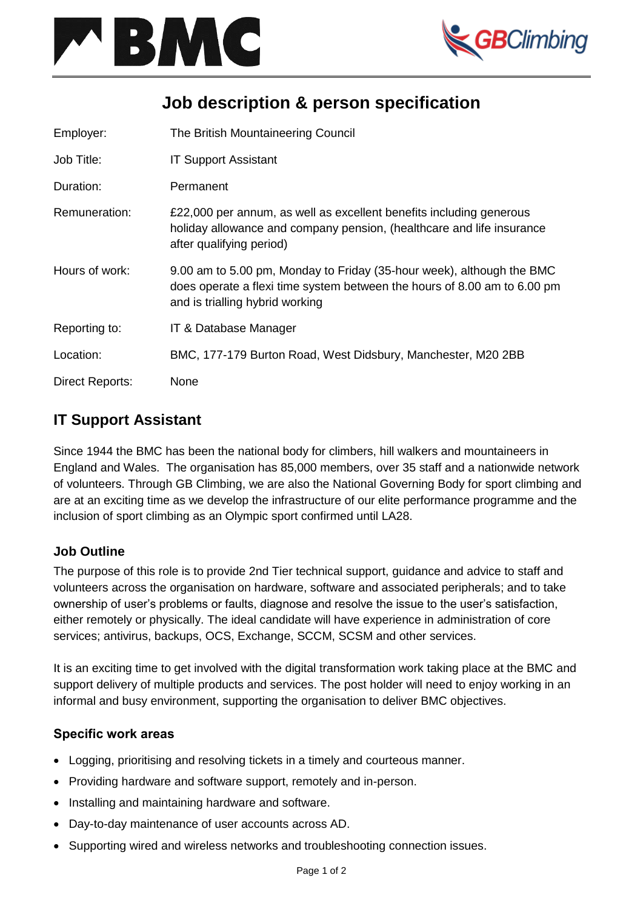



# **Job description & person specification**

| Employer:              | The British Mountaineering Council                                                                                                                                                   |
|------------------------|--------------------------------------------------------------------------------------------------------------------------------------------------------------------------------------|
| Job Title:             | <b>IT Support Assistant</b>                                                                                                                                                          |
| Duration:              | Permanent                                                                                                                                                                            |
| Remuneration:          | £22,000 per annum, as well as excellent benefits including generous<br>holiday allowance and company pension, (healthcare and life insurance<br>after qualifying period)             |
| Hours of work:         | 9.00 am to 5.00 pm, Monday to Friday (35-hour week), although the BMC<br>does operate a flexi time system between the hours of 8.00 am to 6.00 pm<br>and is trialling hybrid working |
| Reporting to:          | IT & Database Manager                                                                                                                                                                |
| Location:              | BMC, 177-179 Burton Road, West Didsbury, Manchester, M20 2BB                                                                                                                         |
| <b>Direct Reports:</b> | None                                                                                                                                                                                 |

## **IT Support Assistant**

Since 1944 the BMC has been the national body for climbers, hill walkers and mountaineers in England and Wales. The organisation has 85,000 members, over 35 staff and a nationwide network of volunteers. Through GB Climbing, we are also the National Governing Body for sport climbing and are at an exciting time as we develop the infrastructure of our elite performance programme and the inclusion of sport climbing as an Olympic sport confirmed until LA28.

### **Job Outline**

The purpose of this role is to provide 2nd Tier technical support, guidance and advice to staff and volunteers across the organisation on hardware, software and associated peripherals; and to take ownership of user's problems or faults, diagnose and resolve the issue to the user's satisfaction, either remotely or physically. The ideal candidate will have experience in administration of core services; antivirus, backups, OCS, Exchange, SCCM, SCSM and other services.

It is an exciting time to get involved with the digital transformation work taking place at the BMC and support delivery of multiple products and services. The post holder will need to enjoy working in an informal and busy environment, supporting the organisation to deliver BMC objectives.

### **Specific work areas**

- Logging, prioritising and resolving tickets in a timely and courteous manner.
- Providing hardware and software support, remotely and in-person.
- Installing and maintaining hardware and software.
- Day-to-day maintenance of user accounts across AD.
- Supporting wired and wireless networks and troubleshooting connection issues.